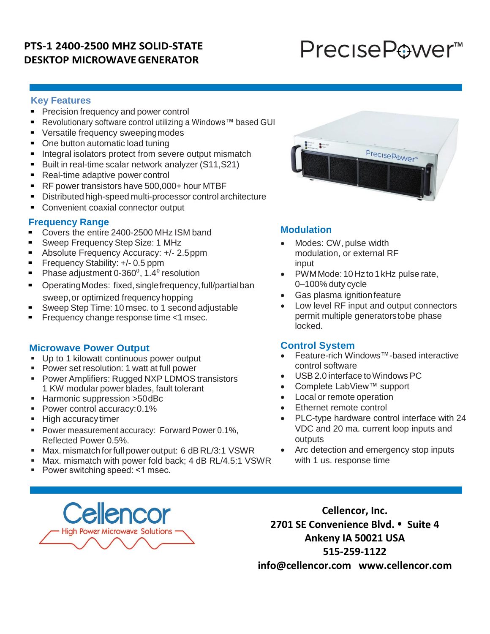## **PTS-1 2400-2500 MHZ SOLID-STATE DESKTOP MICROWAVEGENERATOR**

# PreciseP⊕wer<sup>™</sup>

## **Key Features**

- Precision frequency and power control
- Revolutionary software control utilizing a Windows™ based GUI
- **Versatile frequency sweepingmodes**
- One button automatic load tuning
- **Integral isolators protect from severe output mismatch**
- Built in real-time scalar network analyzer (S11, S21)
- Real-time adaptive power control
- RF power transistors have 500,000+ hour MTBF
- Distributed high-speed multi-processor control architecture
- Convenient coaxial connector output

## **Frequency Range**

- Covers the entire 2400-2500 MHz ISM band
- **Sweep Frequency Step Size: 1 MHz**
- Absolute Frequency Accuracy: +/- 2.5ppm
- **Filter Frequency Stability: +/- 0.5 ppm**
- Phase adjustment 0-360<sup>°</sup>, 1.4<sup>°</sup> resolution
- OperatingModes: fixed, singlefrequency,full/partialban sweep,or optimized frequency hopping
- **Sweep Step Time: 10 msec. to 1 second adjustable**
- Frequency change response time <1 msec.

### **Microwave Power Output**

- Up to 1 kilowatt continuous power output
- **Power set resolution: 1 watt at full power**
- **Power Amplifiers: Rugged NXP LDMOS transistors** 1 KW modular power blades, fault tolerant
- Harmonic suppression >50dBc
- **Power control accuracy: 0.1%**
- High accuracy timer
- **Power measurement accuracy: Forward Power 0.1%,** Reflected Power 0.5%.
- Max. mismatch forfull power output: 6 dBRL/3:1 VSWR
- Max. mismatch with power fold back; 4 dB RL/4.5:1 VSWR
- Power switching speed: <1 msec.



## **Modulation**

- Modes: CW, pulse width modulation, or external RF input
- PWM Mode: 10 Hz to 1 kHz pulse rate, 0–100% duty cycle
- Gas plasma ignition feature
- Low level RF input and output connectors permit multiple generatorstobe phase locked.

## **Control System**

- Feature-rich Windows™-based interactive control software
- USB 2.0 interface toWindows PC
- Complete LabView™ support
- Local or remote operation
- Ethernet remote control
- PLC-type hardware control interface with 24 VDC and 20 ma. current loop inputs and **outputs**
- Arc detection and emergency stop inputs with 1 us. response time



**Cellencor, Inc. 2701 SE Convenience Blvd. Suite 4 Ankeny IA 50021 USA 515-259-1122 info@cellencor.com www.cellencor.com**